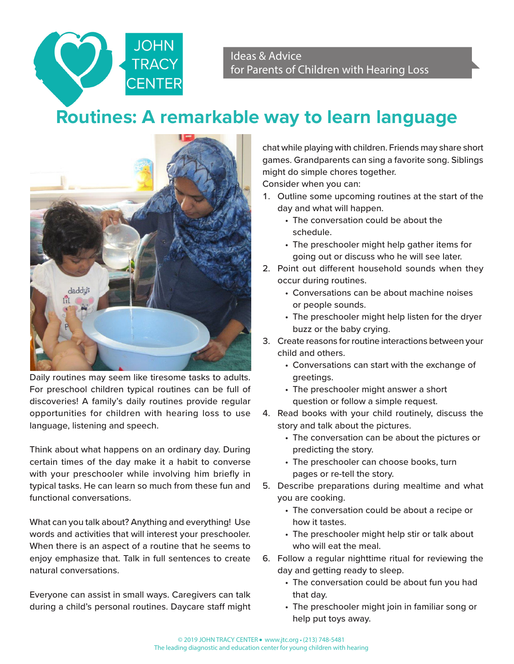Ideas & Advice for Parents of Children with Hearing Loss

## **Routines: A remarkable way to learn language**



**JOHN** 

Daily routines may seem like tiresome tasks to adults. For preschool children typical routines can be full of discoveries! A family's daily routines provide regular opportunities for children with hearing loss to use language, listening and speech.

Think about what happens on an ordinary day. During certain times of the day make it a habit to converse with your preschooler while involving him briefly in typical tasks. He can learn so much from these fun and functional conversations.

What can you talk about? Anything and everything! Use words and activities that will interest your preschooler. When there is an aspect of a routine that he seems to enjoy emphasize that. Talk in full sentences to create natural conversations.

Everyone can assist in small ways. Caregivers can talk during a child's personal routines. Daycare staff might chat while playing with children. Friends may share short games. Grandparents can sing a favorite song. Siblings might do simple chores together.

Consider when you can:

- 1. Outline some upcoming routines at the start of the day and what will happen.
	- The conversation could be about the schedule.
	- The preschooler might help gather items for going out or discuss who he will see later.
- 2. Point out different household sounds when they occur during routines.
	- Conversations can be about machine noises or people sounds.
	- The preschooler might help listen for the dryer buzz or the baby crying.
- 3. Create reasons for routine interactions between your child and others.
	- Conversations can start with the exchange of greetings.
	- The preschooler might answer a short question or follow a simple request.
- 4. Read books with your child routinely, discuss the story and talk about the pictures.
	- The conversation can be about the pictures or predicting the story.
	- The preschooler can choose books, turn pages or re-tell the story.
- 5. Describe preparations during mealtime and what you are cooking.
	- The conversation could be about a recipe or how it tastes.
	- The preschooler might help stir or talk about who will eat the meal.
- 6. Follow a regular nighttime ritual for reviewing the day and getting ready to sleep.
	- The conversation could be about fun you had that day.
	- The preschooler might join in familiar song or help put toys away.